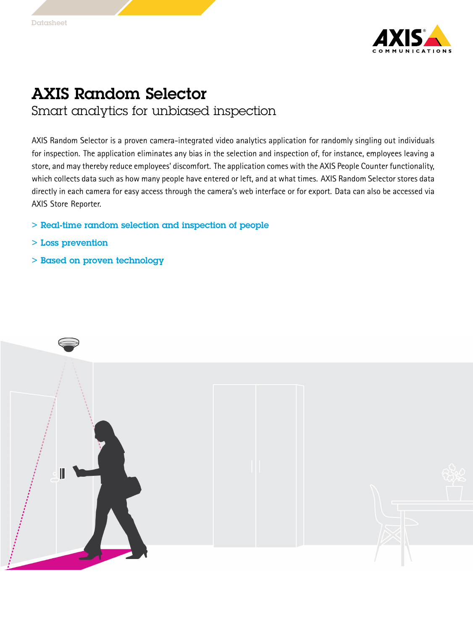

## AXIS Random Selector Smart analytics for unbiased inspection

AXIS Random Selector is <sup>a</sup> proven camera-integrated video analytics application for randomly singling out individuals for inspection. The application eliminates any bias in the selection and inspection of, for instance, employees leaving <sup>a</sup> store, and may thereby reduce employees' discomfort. The application comes with the AXIS People Counter functionality, which collects data such as how many people have entered or left, and at what times. AXIS Random Selector stores data directly in each camera for easy access through the camera's web interface or for export. Data can also be accessed via AXIS Store Reporter.

- > Real-time random selection and inspection of people
- > Loss prevention
- > Based on proven technology